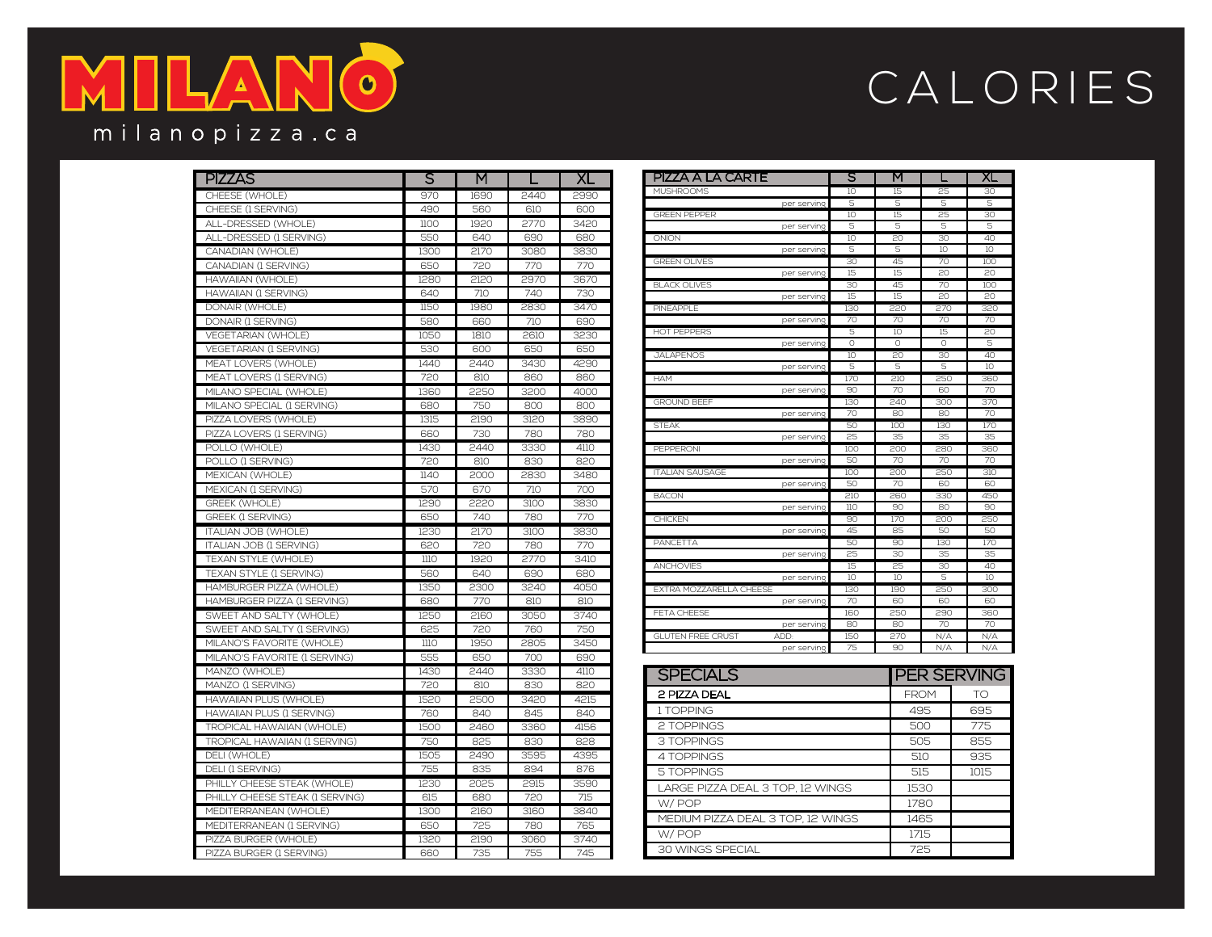## MILA  $\overline{\mathbf{c}}$ milanopizza.ca

## CALORIES

| <b>PIZZAS</b>                    | S    | M    |      | <b>XL</b> | PIZZA A LA CARTE                                | S         | M               |                 | XL                     |
|----------------------------------|------|------|------|-----------|-------------------------------------------------|-----------|-----------------|-----------------|------------------------|
| CHEESE (WHOLE)                   | 970  | 1690 | 2440 | 2990      | <b>MUSHROOMS</b>                                | 10        | 15              | 25              | 30                     |
| CHEESE (1 SERVING)               | 490  | 560  | 610  | 600       | per servino                                     | 5         | 5               | 5               | 5                      |
| ALL-DRESSED (WHOLE)              | 1100 | 1920 | 2770 | 3420      | <b>GREEN PEPPER</b><br>per servino              | 10<br>5   | 15<br>5         | 25<br>5         | 30<br>5                |
| ALL-DRESSED (1 SERVING)          | 550  | 640  | 690  | 680       | ONION                                           | 10        | 20              | 30              | 40                     |
| CANADIAN (WHOLE)                 | 1300 | 2170 | 3080 | 3830      | per serving                                     | 5         | 5               | 10 <sup>°</sup> | 10 <sup>°</sup>        |
| CANADIAN (1 SERVING)             | 650  | 720  | 770  | 770       | <b>GREEN OLIVES</b>                             | 30        | 45              | 70              | 100                    |
| <b>HAWAIIAN (WHOLE)</b>          | 1280 | 2120 | 2970 | 3670      | per serving                                     | 15        | 15              | 20              | 20                     |
| <b>HAWAIIAN (1 SERVING)</b>      | 640  | 710  | 740  | 730       | <b>BLACK OLIVES</b>                             | 30        | 45              | 70              | 100                    |
| DONAIR (WHOLE)                   | 1150 | 1980 | 2830 | 3470      | per servino<br>PINEAPPLE                        | 15<br>130 | 15<br>220       | 20<br>270       | 20<br>320              |
| DONAIR (1 SERVING)               | 580  | 660  | 710  | 690       | per serving                                     | 70        | 70              | 70              | 70                     |
| VEGETARIAN (WHOLE)               | 1050 | 1810 | 2610 | 3230      | HOT PEPPERS                                     | 5         | 10              | 15              | 20                     |
| VEGETARIAN (1 SERVING)           | 530  | 600  | 650  | 650       | per servino                                     | 0         | 0               | 0               | 5                      |
| MEAT LOVERS (WHOLE)              | 1440 | 2440 | 3430 | 4290      | <b>JALAPENOS</b>                                | 10        | 20              | 30              | 40                     |
| MEAT LOVERS (1 SERVING)          | 720  | 810  | 860  | 860       | per servino                                     | 5<br>170  | 5<br>210        | 5<br>250        | 10 <sup>°</sup><br>360 |
| MILANO SPECIAL (WHOLE)           | 1360 | 2250 | 3200 | 4000      | <b>HAM</b><br>ner serving                       | 90        | 70              | 60              | 70                     |
| MILANO SPECIAL (1 SERVING)       | 680  | 750  | 800  | 800       | <b>GROUND BEEF</b>                              | 130       | 240             | 300             | 370                    |
| PIZZA LOVERS (WHOLE)             | 1315 | 2190 | 3120 | 3890      | per serving                                     | 70        | 80              | 80              | 70                     |
|                                  |      |      |      |           | <b>STEAK</b>                                    | 50        | 100             | 130             | 170                    |
| PIZZA LOVERS (1 SERVING)         | 660  | 730  | 780  | 780       | per servino                                     | 25        | 35              | 35              | 35                     |
| POLLO (WHOLE)                    | 1430 | 2440 | 3330 | 4110      | PEPPERONI                                       | 100<br>50 | 200<br>70       | 280<br>70       | 360<br>70              |
| POLLO (1 SERVING)                | 720  | 810  | 830  | 820       | per servino<br><b>ITALIAN SAUSAGE</b>           | 100       | 200             | 250             | 310                    |
| MEXICAN (WHOLE)                  | 1140 | 2000 | 2830 | 3480      | per servino                                     | 50        | 70              | 60              | 60                     |
| MEXICAN (1 SERVING)              | 570  | 670  | 710  | 700       | <b>BACON</b>                                    | 210       | 260             | 330             | 450                    |
| GREEK (WHOLE)                    | 1290 | 2220 | 3100 | 3830      | ner servin                                      | 110       | 90              | 80              | 90                     |
| GREEK (1 SERVING)                | 650  | 740  | 780  | 770       | <b>CHICKEN</b>                                  | 90        | 170             | 200             | 250                    |
| <b>ITALIAN JOB (WHOLE)</b>       | 1230 | 2170 | 3100 | 3830      | per servino                                     | 45        | 85              | 50              | 50                     |
| <b>ITALIAN JOB (1 SERVING)</b>   | 620  | 720  | 780  | 770       | PANCETTA<br>per servino                         | 50<br>25  | 90<br>30        | 130<br>35       | 170<br>35              |
| TEXAN STYLE (WHOLE)              | 1110 | 1920 | 2770 | 3410      | ANCHOVIES                                       | 15        | 25              | 30              | 40                     |
| TEXAN STYLE (1 SERVING)          | 560  | 640  | 690  | 680       | per serving                                     | 10        | 10 <sup>°</sup> | 5               | 10 <sup>°</sup>        |
| HAMBURGER PIZZA (WHOLE)          | 1350 | 2300 | 3240 | 4050      | EXTRA MOZZARELLA CHEESE                         | 130       | 190             | 250             | 300                    |
| HAMBURGER PIZZA (1 SERVING)      | 680  | 770  | 810  | 810       | per serving                                     | 70        | 60              | 60              | 60                     |
| SWEET AND SALTY (WHOLE)          | 1250 | 2160 | 3050 | 3740      | FETA CHEESE                                     | 160       | 250             | 290             | 360                    |
| SWEET AND SALTY (1 SERVING)      | 625  | 720  | 760  | 750       | per servino<br><b>GLUTEN FREE CRUST</b><br>ADD- | 80<br>150 | 80<br>270       | 70<br>N/A       | 70<br>N/A              |
| MILANO'S FAVORITE (WHOLE)        | 1110 | 1950 | 2805 | 3450      | per serving                                     | 75        | 90              | N/A             | N/A                    |
| MILANO'S FAVORITE (1 SERVING)    | 555  | 650  | 700  | 690       |                                                 |           |                 |                 |                        |
| MANZO (WHOLE)                    | 1430 | 2440 | 3330 | 4110      | <b>SPECIALS</b>                                 |           |                 |                 | <b>PER SERVING</b>     |
| MANZO (1 SERVING)                | 720  | 810  | 830  | 820       |                                                 |           |                 |                 |                        |
| HAWAIIAN PLUS (WHOLE)            | 1520 | 2500 | 3420 | 4215      | 2 PIZZA DEAL                                    |           |                 | <b>FROM</b>     | TO                     |
| HAWAIIAN PLUS (1 SERVING)        | 760  | 840  | 845  | 840       | 1 TOPPING                                       |           |                 | 495             | 695                    |
| <b>TROPICAL HAWAIIAN (WHOLE)</b> | 1500 | 2460 | 3360 | 4156      | 2 TOPPINGS                                      |           |                 | 500             | 775                    |
| TROPICAL HAWAIIAN (1 SERVING)    | 750  | 825  | 830  | 828       | 3 TOPPINGS                                      |           |                 | 505             | 855                    |
| DELI (WHOLE)                     | 1505 | 2490 | 3595 | 4395      | 4 TOPPINGS                                      |           |                 | 510             | 935                    |
| DELI (1 SERVING)                 | 755  | 835  | 894  | 876       | <b>5 TOPPINGS</b>                               |           |                 | 515             | 1015                   |
| PHILLY CHEESE STEAK (WHOLE)      | 1230 | 2025 | 2915 | 3590      |                                                 |           |                 |                 |                        |
| PHILLY CHEESE STEAK (1 SERVING)  | 615  | 680  | 720  | 715       | LARGE PIZZA DEAL 3 TOP, 12 WINGS                |           |                 | 1530            |                        |
| MEDITERRANEAN (WHOLE)            | 1300 | 2160 | 3160 | 3840      | W/POP                                           |           |                 | 1780            |                        |
| MEDITERRANEAN (1 SERVING)        | 650  | 725  | 780  | 765       | MEDIUM PIZZA DEAL 3 TOP, 12 WINGS               |           |                 | 1465            |                        |
| PIZZA BURGER (WHOLE)             | 1320 | 2190 | 3060 | 3740      | W/POP                                           |           |                 | 1715            |                        |
| PIZZA BURGER (1 SERVING)         | 660  | 735  | 755  | 745       | <b>30 WINGS SPECIAL</b>                         |           |                 | 725             |                        |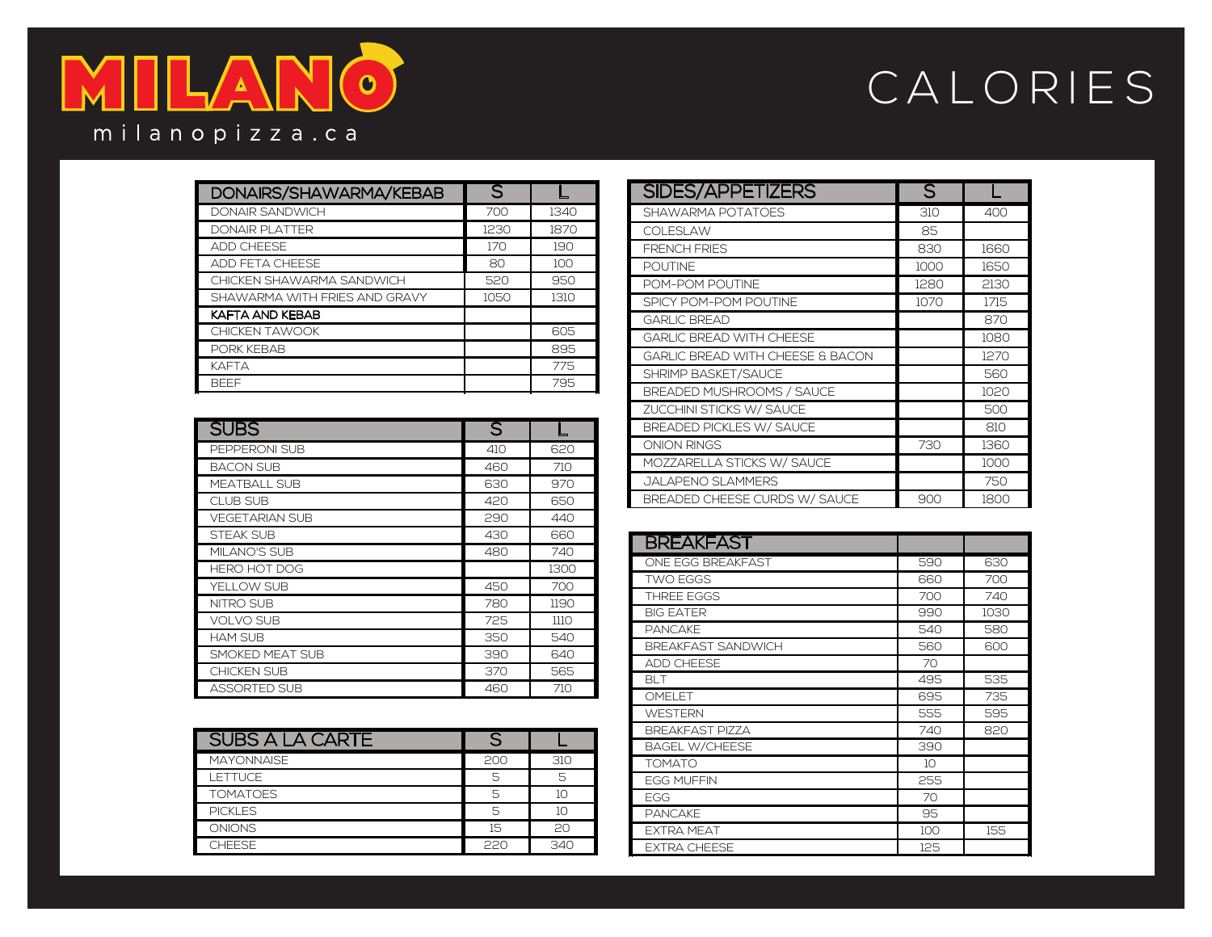

## CALORIES

| DONAIRS/SHAWARMA/KEBAB        | $\overline{\mathsf{S}}$ |      |
|-------------------------------|-------------------------|------|
| <b>DONAIR SANDWICH</b>        | 700                     | 1340 |
| <b>DONAIR PLATTER</b>         | 1230                    | 1870 |
| <b>ADD CHEESE</b>             | 170                     | 190  |
| <b>ADD FETA CHEESE</b>        | 80                      | 100  |
| CHICKEN SHAWARMA SANDWICH     | 520                     | 950  |
| SHAWARMA WITH FRIES AND GRAVY | 1050                    | 1310 |
| KAFTA AND KEBAB               |                         |      |
| <b>CHICKEN TAWOOK</b>         |                         | 605  |
| PORK KEBAB                    |                         | 895  |
| <b>KAFTA</b>                  |                         | 775  |
| <b>BFFF</b>                   |                         | 795  |

| <b>SUBS</b>           | $\overline{\mathsf{S}}$ |      |
|-----------------------|-------------------------|------|
| PEPPERONI SUB         | 410                     | 620  |
| <b>BACON SUB</b>      | 460                     | 710  |
| <b>MEATBALL SUB</b>   | 630                     | 970  |
| <b>CLUB SUB</b>       | 420                     | 650  |
| <b>VEGETARIAN SUB</b> | 290                     | 440  |
| <b>STEAK SUB</b>      | 430                     | 660  |
| <b>MILANO'S SUB</b>   | 480                     | 740  |
| <b>HERO HOT DOG</b>   |                         | 1300 |
| YELLOW SUB            | 450                     | 700  |
| <b>NITRO SUB</b>      | 780                     | 1190 |
| <b>VOLVO SUB</b>      | 725                     | 1110 |
| <b>HAM SUB</b>        | 350                     | 540  |
| SMOKED MEAT SUB       | 390                     | 640  |
| <b>CHICKEN SUB</b>    | 370                     | 565  |
| <b>ASSORTED SUB</b>   | 460                     | 710  |

| SUBS A LA CARTE   |     |     |
|-------------------|-----|-----|
| <b>MAYONNAISE</b> | 200 | 310 |
| <b>LETTUCE</b>    |     |     |
| <b>TOMATOES</b>   |     |     |
| <b>PICKLES</b>    |     | 10  |
| <b>ONIONS</b>     | 15  | 20  |
| <b>CHEESE</b>     | 220 | 340 |

| <b>SIDES/APPETIZERS</b>                     | S    |      |
|---------------------------------------------|------|------|
| SHAWARMA POTATOES                           | 310  | 400  |
| COLESLAW                                    | 85   |      |
| <b>FRENCH FRIES</b>                         | 830  | 1660 |
| <b>POUTINE</b>                              | 1000 | 1650 |
| POM-POM POUTINE                             | 1280 | 2130 |
| SPICY POM-POM POUTINE                       | 1070 | 1715 |
| <b>GARLIC BREAD</b>                         |      | 870  |
| <b>GARLIC BREAD WITH CHEESE</b>             |      | 1080 |
| <b>GARLIC BREAD WITH CHEESE &amp; BACON</b> |      | 1270 |
| <b>SHRIMP BASKET/SAUCE</b>                  |      | 560  |
| <b>BREADED MUSHROOMS / SAUCE</b>            |      | 1020 |
| ZUCCHINI STICKS W/ SAUCE                    |      | 500  |
| <b>BREADED PICKLES W/ SAUCE</b>             |      | 810  |
| ONION RINGS                                 | 730  | 1360 |
| MOZZARELLA STICKS W/ SAUCE                  |      | 1000 |
| <b>JALAPENO SLAMMERS</b>                    |      | 750  |
| BREADED CHEESE CURDS W/ SAUCE               | 900  | 1800 |

| <b>BREAKFAST</b>          |     |      |
|---------------------------|-----|------|
| ONE EGG BREAKFAST         | 590 | 630  |
| <b>TWO EGGS</b>           | 660 | 700  |
| <b>THREE EGGS</b>         | 700 | 740  |
| <b>BIG EATER</b>          | 990 | 1030 |
| <b>PANCAKE</b>            | 540 | 580  |
| <b>BREAKFAST SANDWICH</b> | 560 | 600  |
| <b>ADD CHEESE</b>         | 70  |      |
| <b>BLT</b>                | 495 | 535  |
| OMEI ET                   | 695 | 735  |
| <b>WESTERN</b>            | 555 | 595  |
| <b>BREAKFAST PIZZA</b>    | 740 | 820  |
| <b>BAGEL W/CHEESE</b>     | 390 |      |
| <b>TOMATO</b>             | 10  |      |
| <b>EGG MUFFIN</b>         | 255 |      |
| EGG                       | 70  |      |
| <b>PANCAKE</b>            | 95  |      |
| <b>EXTRA MEAT</b>         | 100 | 155  |
| <b>EXTRA CHEESE</b>       | 125 |      |